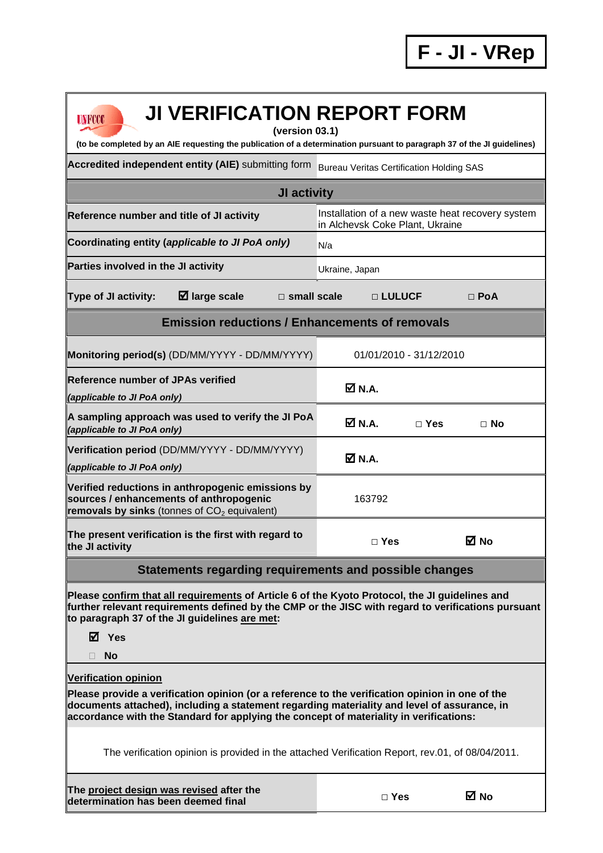| <b>JI VERIFICATION REPORT FORM</b><br><b>UNFCCC</b><br>(version 03.1)                                                                                                                                                                                                                                                   |                                                 |                         |                                                  |  |  |  |
|-------------------------------------------------------------------------------------------------------------------------------------------------------------------------------------------------------------------------------------------------------------------------------------------------------------------------|-------------------------------------------------|-------------------------|--------------------------------------------------|--|--|--|
| (to be completed by an AIE requesting the publication of a determination pursuant to paragraph 37 of the JI guidelines)                                                                                                                                                                                                 |                                                 |                         |                                                  |  |  |  |
| Accredited independent entity (AIE) submitting form                                                                                                                                                                                                                                                                     | <b>Bureau Veritas Certification Holding SAS</b> |                         |                                                  |  |  |  |
| <b>JI activity</b>                                                                                                                                                                                                                                                                                                      |                                                 |                         |                                                  |  |  |  |
| Reference number and title of JI activity                                                                                                                                                                                                                                                                               | in Alchevsk Coke Plant, Ukraine                 |                         | Installation of a new waste heat recovery system |  |  |  |
| Coordinating entity (applicable to JI PoA only)                                                                                                                                                                                                                                                                         | N/a                                             |                         |                                                  |  |  |  |
| Parties involved in the JI activity                                                                                                                                                                                                                                                                                     | Ukraine, Japan                                  |                         |                                                  |  |  |  |
| $\boxtimes$ large scale<br>Type of JI activity:<br>$\Box$ small scale                                                                                                                                                                                                                                                   |                                                 | □ LULUCF                | $\Box$ PoA                                       |  |  |  |
| <b>Emission reductions / Enhancements of removals</b>                                                                                                                                                                                                                                                                   |                                                 |                         |                                                  |  |  |  |
| Monitoring period(s) (DD/MM/YYYY - DD/MM/YYYY)                                                                                                                                                                                                                                                                          |                                                 | 01/01/2010 - 31/12/2010 |                                                  |  |  |  |
| <b>Reference number of JPAs verified</b><br>(applicable to JI PoA only)                                                                                                                                                                                                                                                 | $\overline{M}$ N.A.                             |                         |                                                  |  |  |  |
| A sampling approach was used to verify the JI PoA<br>(applicable to JI PoA only)                                                                                                                                                                                                                                        | $\overline{M}$ N.A.                             | $\Box$ Yes              | $\Box$ No                                        |  |  |  |
| Verification period (DD/MM/YYYY - DD/MM/YYYY)<br>(applicable to JI PoA only)                                                                                                                                                                                                                                            | ØN.A.                                           |                         |                                                  |  |  |  |
| Verified reductions in anthropogenic emissions by<br>sources / enhancements of anthropogenic<br>removals by sinks (tonnes of $CO2$ equivalent)                                                                                                                                                                          | 163792                                          |                         |                                                  |  |  |  |
| The present verification is the first with regard to<br>the JI activity                                                                                                                                                                                                                                                 |                                                 | $\Box$ Yes              | M ⊠                                              |  |  |  |
| <b>Statements regarding requirements and possible changes</b>                                                                                                                                                                                                                                                           |                                                 |                         |                                                  |  |  |  |
| Please confirm that all requirements of Article 6 of the Kyoto Protocol, the JI guidelines and<br>further relevant requirements defined by the CMP or the JISC with regard to verifications pursuant<br>to paragraph 37 of the JI guidelines are met:<br>⊠ Yes<br><b>No</b>                                             |                                                 |                         |                                                  |  |  |  |
| <b>Verification opinion</b><br>Please provide a verification opinion (or a reference to the verification opinion in one of the<br>documents attached), including a statement regarding materiality and level of assurance, in<br>accordance with the Standard for applying the concept of materiality in verifications: |                                                 |                         |                                                  |  |  |  |
| The verification opinion is provided in the attached Verification Report, rev.01, of 08/04/2011.                                                                                                                                                                                                                        |                                                 |                         |                                                  |  |  |  |
| The project design was revised after the<br>determination has been deemed final                                                                                                                                                                                                                                         |                                                 | $\square$ Yes           | ⊠ No                                             |  |  |  |